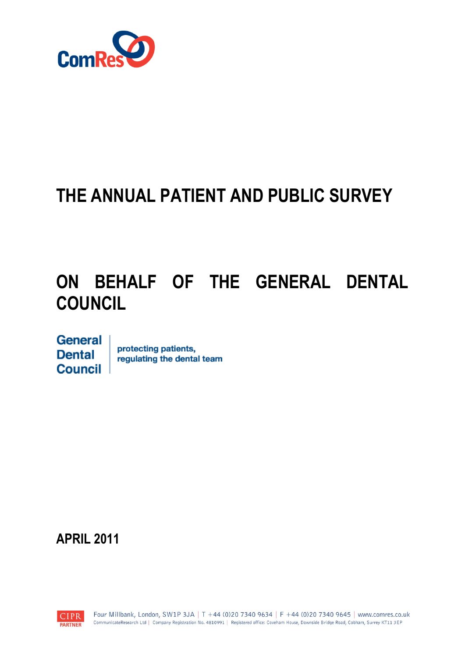

# **THE ANNUAL PATIENT AND PUBLIC SURVEY**

# **ON BEHALF OF THE GENERAL DENTAL COUNCIL**

General **Dental Council** 

protecting patients, regulating the dental team

**APRIL 2011**

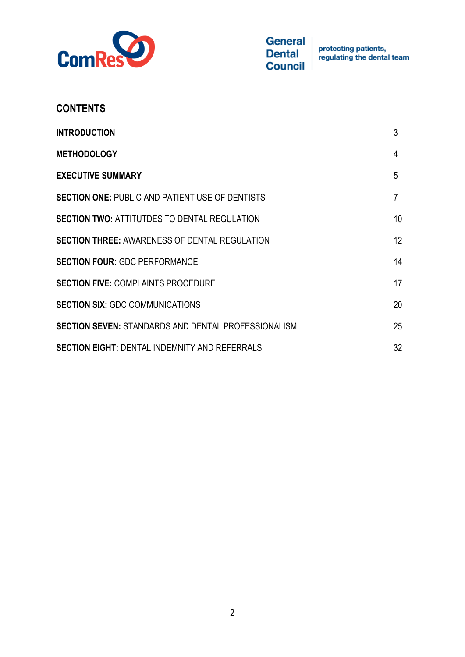

| <b>CONTENTS</b>                                            |    |
|------------------------------------------------------------|----|
| <b>INTRODUCTION</b>                                        | 3  |
| <b>METHODOLOGY</b>                                         | 4  |
| <b>EXECUTIVE SUMMARY</b>                                   | 5  |
| <b>SECTION ONE: PUBLIC AND PATIENT USE OF DENTISTS</b>     | 7  |
| <b>SECTION TWO: ATTITUTDES TO DENTAL REGULATION</b>        | 10 |
| <b>SECTION THREE: AWARENESS OF DENTAL REGULATION</b>       | 12 |
| <b>SECTION FOUR: GDC PERFORMANCE</b>                       | 14 |
| <b>SECTION FIVE: COMPLAINTS PROCEDURE</b>                  | 17 |
| <b>SECTION SIX: GDC COMMUNICATIONS</b>                     | 20 |
| <b>SECTION SEVEN: STANDARDS AND DENTAL PROFESSIONALISM</b> | 25 |
| <b>SECTION EIGHT: DENTAL INDEMNITY AND REFERRALS</b>       | 32 |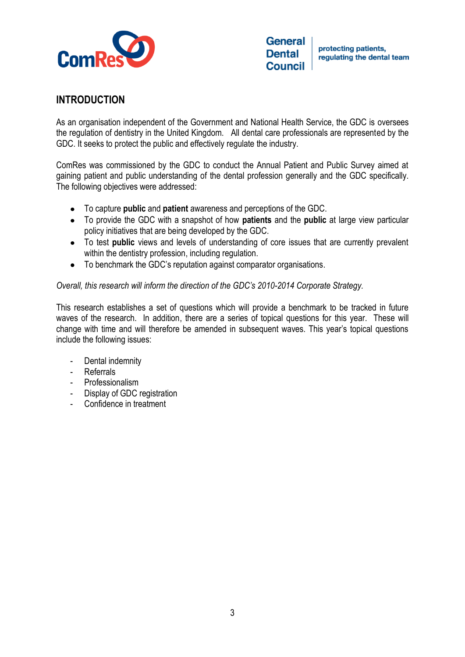

# **INTRODUCTION**

As an organisation independent of the Government and National Health Service, the GDC is oversees the regulation of dentistry in the United Kingdom. All dental care professionals are represented by the GDC. It seeks to protect the public and effectively regulate the industry.

ComRes was commissioned by the GDC to conduct the Annual Patient and Public Survey aimed at gaining patient and public understanding of the dental profession generally and the GDC specifically. The following objectives were addressed:

- To capture **public** and **patient** awareness and perceptions of the GDC.
- To provide the GDC with a snapshot of how **patients** and the **public** at large view particular policy initiatives that are being developed by the GDC.
- To test **public** views and levels of understanding of core issues that are currently prevalent within the dentistry profession, including regulation.
- To benchmark the GDC's reputation against comparator organisations.  $\bullet$

## *Overall, this research will inform the direction of the GDC"s 2010-2014 Corporate Strategy.*

This research establishes a set of questions which will provide a benchmark to be tracked in future waves of the research. In addition, there are a series of topical questions for this year. These will change with time and will therefore be amended in subsequent waves. This year's topical questions include the following issues:

- Dental indemnity
- **Referrals**
- Professionalism
- Display of GDC registration
- Confidence in treatment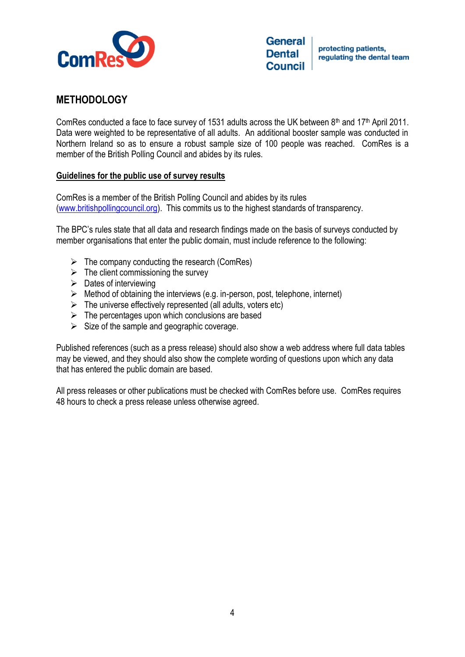

# **METHODOLOGY**

ComRes conducted a face to face survey of 1531 adults across the UK between 8th and 17th April 2011. Data were weighted to be representative of all adults. An additional booster sample was conducted in Northern Ireland so as to ensure a robust sample size of 100 people was reached. ComRes is a member of the British Polling Council and abides by its rules.

## **Guidelines for the public use of survey results**

ComRes is a member of the British Polling Council and abides by its rules [\(www.britishpollingcouncil.org\)](http://www.britishpollingcouncil.org/). This commits us to the highest standards of transparency.

The BPC's rules state that all data and research findings made on the basis of surveys conducted by member organisations that enter the public domain, must include reference to the following:

- $\triangleright$  The company conducting the research (ComRes)
- $\triangleright$  The client commissioning the survey
- $\triangleright$  Dates of interviewing
- $\triangleright$  Method of obtaining the interviews (e.g. in-person, post, telephone, internet)
- $\triangleright$  The universe effectively represented (all adults, voters etc)
- $\triangleright$  The percentages upon which conclusions are based
- $\triangleright$  Size of the sample and geographic coverage.

Published references (such as a press release) should also show a web address where full data tables may be viewed, and they should also show the complete wording of questions upon which any data that has entered the public domain are based.

All press releases or other publications must be checked with ComRes before use. ComRes requires 48 hours to check a press release unless otherwise agreed.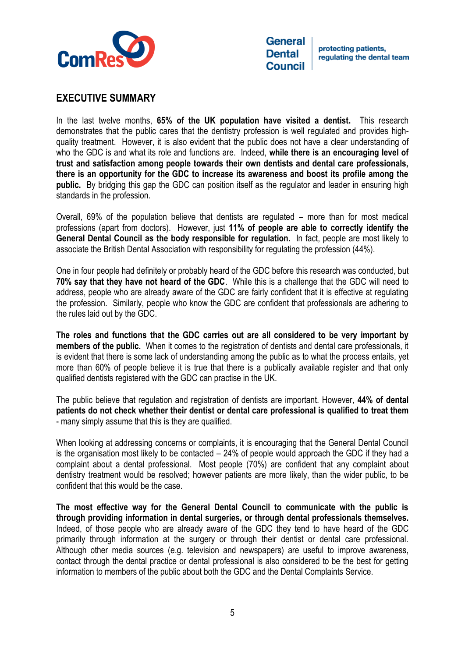

protecting patients. regulating the dental team

# **EXECUTIVE SUMMARY**

In the last twelve months, **65% of the UK population have visited a dentist.** This research demonstrates that the public cares that the dentistry profession is well regulated and provides highquality treatment. However, it is also evident that the public does not have a clear understanding of who the GDC is and what its role and functions are. Indeed, **while there is an encouraging level of trust and satisfaction among people towards their own dentists and dental care professionals, there is an opportunity for the GDC to increase its awareness and boost its profile among the public.** By bridging this gap the GDC can position itself as the regulator and leader in ensuring high standards in the profession.

Overall, 69% of the population believe that dentists are regulated – more than for most medical professions (apart from doctors). However, just **11% of people are able to correctly identify the General Dental Council as the body responsible for regulation.** In fact, people are most likely to associate the British Dental Association with responsibility for regulating the profession (44%).

One in four people had definitely or probably heard of the GDC before this research was conducted, but **70% say that they have not heard of the GDC**. While this is a challenge that the GDC will need to address, people who are already aware of the GDC are fairly confident that it is effective at regulating the profession. Similarly, people who know the GDC are confident that professionals are adhering to the rules laid out by the GDC.

**The roles and functions that the GDC carries out are all considered to be very important by members of the public.** When it comes to the registration of dentists and dental care professionals, it is evident that there is some lack of understanding among the public as to what the process entails, yet more than 60% of people believe it is true that there is a publically available register and that only qualified dentists registered with the GDC can practise in the UK.

The public believe that regulation and registration of dentists are important. However, **44% of dental patients do not check whether their dentist or dental care professional is qualified to treat them** - many simply assume that this is they are qualified.

When looking at addressing concerns or complaints, it is encouraging that the General Dental Council is the organisation most likely to be contacted – 24% of people would approach the GDC if they had a complaint about a dental professional. Most people (70%) are confident that any complaint about dentistry treatment would be resolved; however patients are more likely, than the wider public, to be confident that this would be the case.

**The most effective way for the General Dental Council to communicate with the public is through providing information in dental surgeries, or through dental professionals themselves.** Indeed, of those people who are already aware of the GDC they tend to have heard of the GDC primarily through information at the surgery or through their dentist or dental care professional. Although other media sources (e.g. television and newspapers) are useful to improve awareness, contact through the dental practice or dental professional is also considered to be the best for getting information to members of the public about both the GDC and the Dental Complaints Service.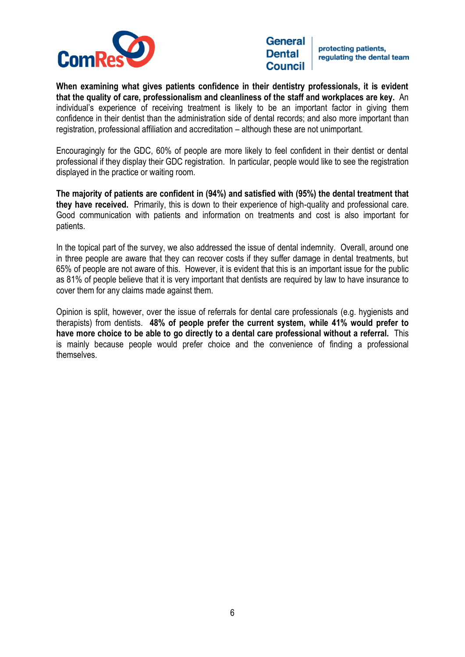

protecting patients. regulating the dental team

**When examining what gives patients confidence in their dentistry professionals, it is evident that the quality of care, professionalism and cleanliness of the staff and workplaces are key.** An individual's experience of receiving treatment is likely to be an important factor in giving them confidence in their dentist than the administration side of dental records; and also more important than registration, professional affiliation and accreditation – although these are not unimportant.

Encouragingly for the GDC, 60% of people are more likely to feel confident in their dentist or dental professional if they display their GDC registration. In particular, people would like to see the registration displayed in the practice or waiting room.

**The majority of patients are confident in (94%) and satisfied with (95%) the dental treatment that they have received.** Primarily, this is down to their experience of high-quality and professional care. Good communication with patients and information on treatments and cost is also important for patients.

In the topical part of the survey, we also addressed the issue of dental indemnity. Overall, around one in three people are aware that they can recover costs if they suffer damage in dental treatments, but 65% of people are not aware of this. However, it is evident that this is an important issue for the public as 81% of people believe that it is very important that dentists are required by law to have insurance to cover them for any claims made against them.

Opinion is split, however, over the issue of referrals for dental care professionals (e.g. hygienists and therapists) from dentists. **48% of people prefer the current system, while 41% would prefer to have more choice to be able to go directly to a dental care professional without a referral.** This is mainly because people would prefer choice and the convenience of finding a professional themselves.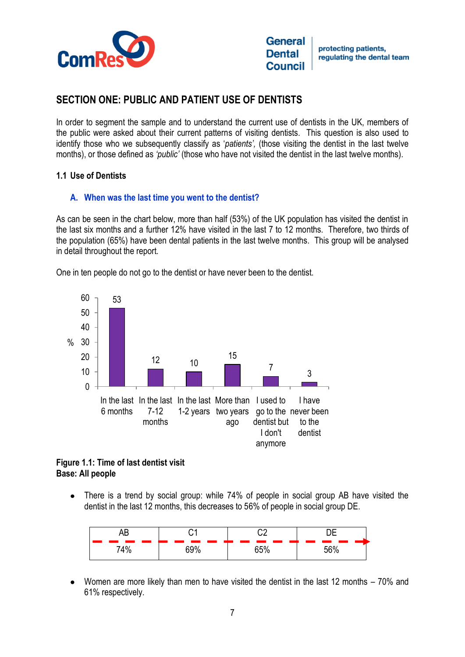

# **SECTION ONE: PUBLIC AND PATIENT USE OF DENTISTS**

In order to segment the sample and to understand the current use of dentists in the UK, members of the public were asked about their current patterns of visiting dentists. This question is also used to identify those who we subsequently classify as '*patients",* (those visiting the dentist in the last twelve months), or those defined as *"public"* (those who have not visited the dentist in the last twelve months).

## **1.1 Use of Dentists**

## **A. When was the last time you went to the dentist?**

As can be seen in the chart below, more than half (53%) of the UK population has visited the dentist in the last six months and a further 12% have visited in the last 7 to 12 months. Therefore, two thirds of the population (65%) have been dental patients in the last twelve months. This group will be analysed in detail throughout the report.

One in ten people do not go to the dentist or have never been to the dentist.



#### **Figure 1.1: Time of last dentist visit Base: All people**

There is a trend by social group: while 74% of people in social group AB have visited the dentist in the last 12 months, this decreases to 56% of people in social group DE.

|                                                                                                                |                                                                                                                       | ∩∩<br><b>START</b>     |      |
|----------------------------------------------------------------------------------------------------------------|-----------------------------------------------------------------------------------------------------------------------|------------------------|------|
| and the state of the state of the state of the state of the state of the state of the state of the state of th |                                                                                                                       | <b>Service Service</b> | ㄷㄷㅇ/ |
| 710/                                                                                                           | <b>Contract Contract Contract Contract Contract Contract Contract Contract Contract Contract Contract Contract Co</b> | <b>Service Service</b> |      |

Women are more likely than men to have visited the dentist in the last 12 months – 70% and 61% respectively.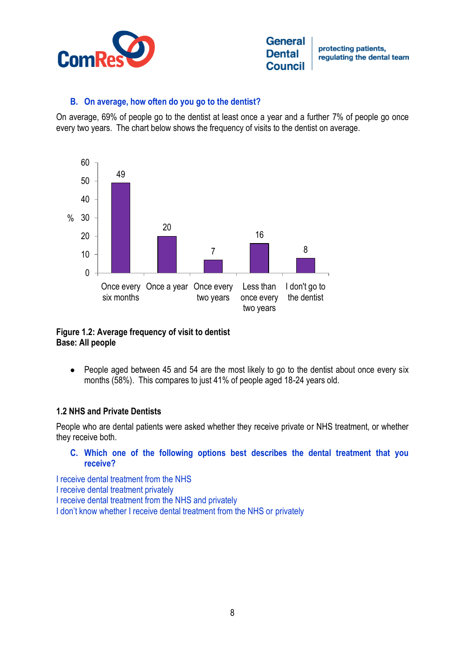

protecting patients. regulating the dental team

#### **B. On average, how often do you go to the dentist?**

On average, 69% of people go to the dentist at least once a year and a further 7% of people go once every two years. The chart below shows the frequency of visits to the dentist on average.



## **Figure 1.2: Average frequency of visit to dentist Base: All people**

People aged between 45 and 54 are the most likely to go to the dentist about once every six  $\bullet$ months (58%). This compares to just 41% of people aged 18-24 years old.

## **1.2 NHS and Private Dentists**

People who are dental patients were asked whether they receive private or NHS treatment, or whether they receive both.

#### **C. Which one of the following options best describes the dental treatment that you receive?**

I receive dental treatment from the NHS I receive dental treatment privately I receive dental treatment from the NHS and privately I don't know whether I receive dental treatment from the NHS or privately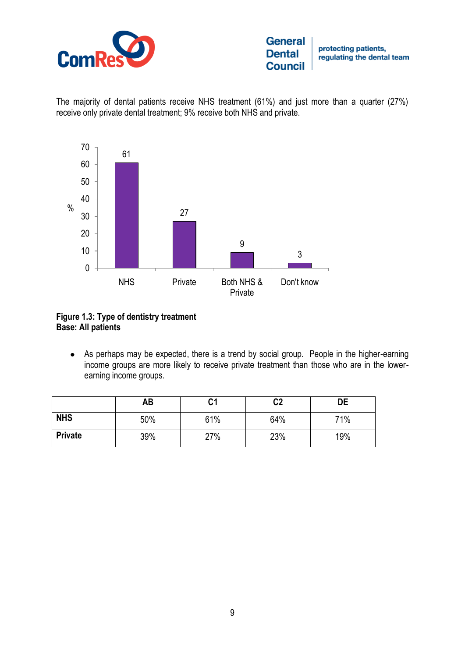

protecting patients, regulating the dental team

The majority of dental patients receive NHS treatment (61%) and just more than a quarter (27%) receive only private dental treatment; 9% receive both NHS and private.



# **Figure 1.3: Type of dentistry treatment Base: All patients**

As perhaps may be expected, there is a trend by social group. People in the higher-earning income groups are more likely to receive private treatment than those who are in the lowerearning income groups.

|                | AB  | C1  | C <sub>2</sub> | DE  |
|----------------|-----|-----|----------------|-----|
| <b>NHS</b>     | 50% | 61% | 64%            | 71% |
| <b>Private</b> | 39% | 27% | 23%            | 19% |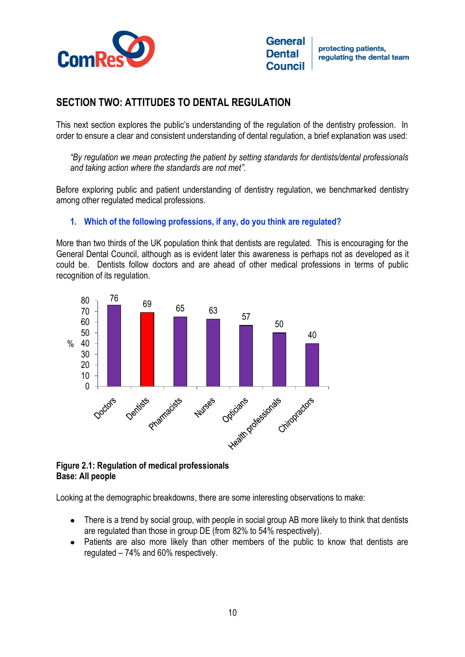

# **SECTION TWO: ATTITUDES TO DENTAL REGULATION**

This next section explores the public's understanding of the regulation of the dentistry profession. In order to ensure a clear and consistent understanding of dental regulation, a brief explanation was used:

*"By regulation we mean protecting the patient by setting standards for dentists/dental professionals and taking action where the standards are not met".* 

Before exploring public and patient understanding of dentistry regulation, we benchmarked dentistry among other regulated medical professions.

# **1. Which of the following professions, if any, do you think are regulated?**

More than two thirds of the UK population think that dentists are regulated. This is encouraging for the General Dental Council, although as is evident later this awareness is perhaps not as developed as it could be. Dentists follow doctors and are ahead of other medical professions in terms of public recognition of its regulation.



#### **Figure 2.1: Regulation of medical professionals Base: All people**

Looking at the demographic breakdowns, there are some interesting observations to make:

- There is a trend by social group, with people in social group AB more likely to think that dentists are regulated than those in group DE (from 82% to 54% respectively).
- Patients are also more likely than other members of the public to know that dentists are regulated – 74% and 60% respectively.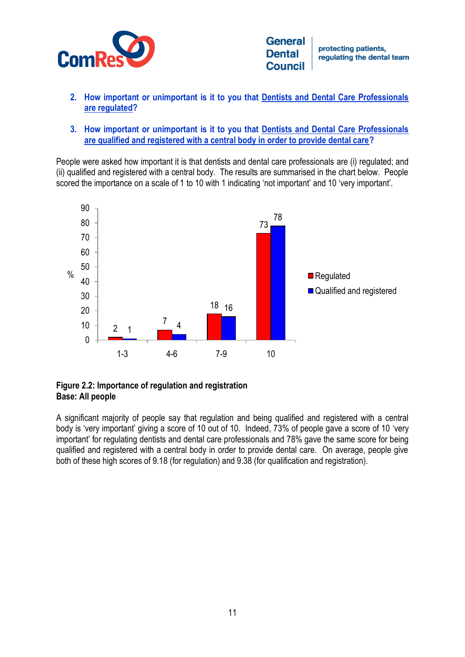

protecting patients. regulating the dental team

- **2. How important or unimportant is it to you that Dentists and Dental Care Professionals are regulated?**
- **3. How important or unimportant is it to you that Dentists and Dental Care Professionals are qualified and registered with a central body in order to provide dental care?**

People were asked how important it is that dentists and dental care professionals are (i) regulated; and (ii) qualified and registered with a central body. The results are summarised in the chart below. People scored the importance on a scale of 1 to 10 with 1 indicating 'not important' and 10 'very important'.



#### **Figure 2.2: Importance of regulation and registration Base: All people**

A significant majority of people say that regulation and being qualified and registered with a central body is 'very important' giving a score of 10 out of 10. Indeed, 73% of people gave a score of 10 'very important' for regulating dentists and dental care professionals and 78% gave the same score for being qualified and registered with a central body in order to provide dental care. On average, people give both of these high scores of 9.18 (for regulation) and 9.38 (for qualification and registration).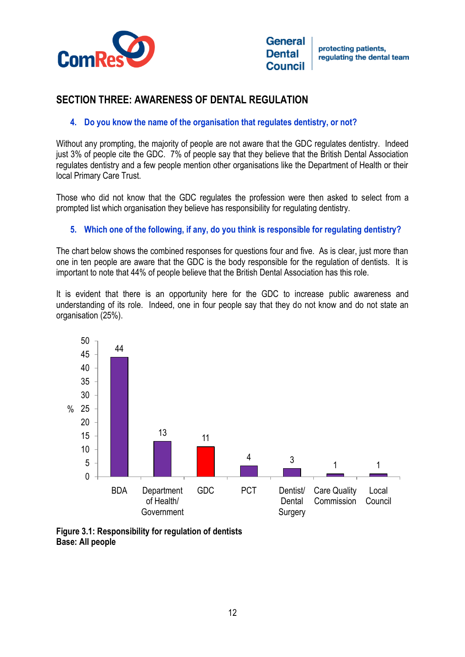

# **SECTION THREE: AWARENESS OF DENTAL REGULATION**

# **4. Do you know the name of the organisation that regulates dentistry, or not?**

Without any prompting, the majority of people are not aware that the GDC regulates dentistry. Indeed just 3% of people cite the GDC. 7% of people say that they believe that the British Dental Association regulates dentistry and a few people mention other organisations like the Department of Health or their local Primary Care Trust.

Those who did not know that the GDC regulates the profession were then asked to select from a prompted list which organisation they believe has responsibility for regulating dentistry.

## **5. Which one of the following, if any, do you think is responsible for regulating dentistry?**

The chart below shows the combined responses for questions four and five. As is clear, just more than one in ten people are aware that the GDC is the body responsible for the regulation of dentists. It is important to note that 44% of people believe that the British Dental Association has this role.

It is evident that there is an opportunity here for the GDC to increase public awareness and understanding of its role. Indeed, one in four people say that they do not know and do not state an organisation (25%).



**Figure 3.1: Responsibility for regulation of dentists Base: All people**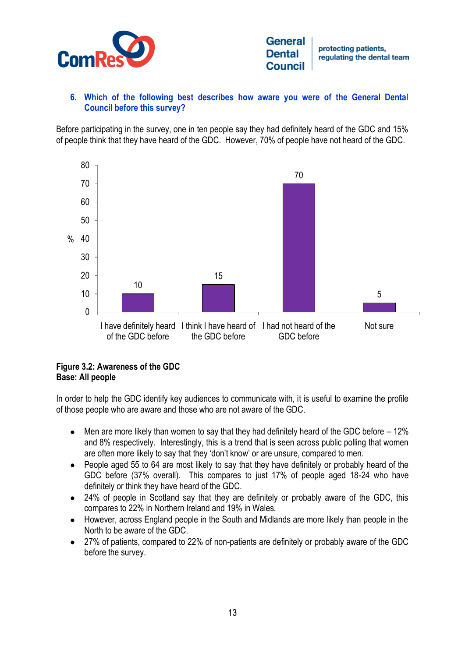

protecting patients. regulating the dental team

# **6. Which of the following best describes how aware you were of the General Dental Council before this survey?**

Before participating in the survey, one in ten people say they had definitely heard of the GDC and 15% of people think that they have heard of the GDC. However, 70% of people have not heard of the GDC.



# **Figure 3.2: Awareness of the GDC Base: All people**

In order to help the GDC identify key audiences to communicate with, it is useful to examine the profile of those people who are aware and those who are not aware of the GDC.

- Men are more likely than women to say that they had definitely heard of the GDC before 12%  $\bullet$ and 8% respectively. Interestingly, this is a trend that is seen across public polling that women are often more likely to say that they 'don't know' or are unsure, compared to men.
- People aged 55 to 64 are most likely to say that they have definitely or probably heard of the  $\bullet$ GDC before (37% overall). This compares to just 17% of people aged 18-24 who have definitely or think they have heard of the GDC.
- 24% of people in Scotland say that they are definitely or probably aware of the GDC, this  $\bullet$ compares to 22% in Northern Ireland and 19% in Wales.
- $\bullet$ However, across England people in the South and Midlands are more likely than people in the North to be aware of the GDC.
- $\bullet$ 27% of patients, compared to 22% of non-patients are definitely or probably aware of the GDC before the survey.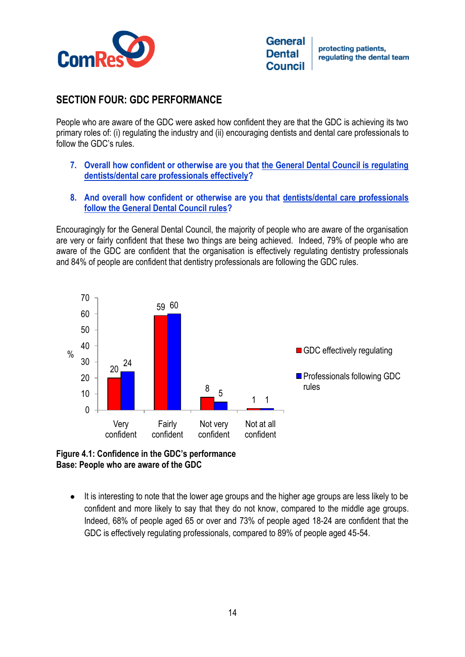

protecting patients. regulating the dental team

# **SECTION FOUR: GDC PERFORMANCE**

People who are aware of the GDC were asked how confident they are that the GDC is achieving its two primary roles of: (i) regulating the industry and (ii) encouraging dentists and dental care professionals to follow the GDC's rules.

- **7. Overall how confident or otherwise are you that the General Dental Council is regulating dentists/dental care professionals effectively?**
- **8. And overall how confident or otherwise are you that dentists/dental care professionals follow the General Dental Council rules?**

Encouragingly for the General Dental Council, the majority of people who are aware of the organisation are very or fairly confident that these two things are being achieved. Indeed, 79% of people who are aware of the GDC are confident that the organisation is effectively regulating dentistry professionals and 84% of people are confident that dentistry professionals are following the GDC rules.



**Figure 4.1: Confidence in the GDC's performance Base: People who are aware of the GDC**

It is interesting to note that the lower age groups and the higher age groups are less likely to be  $\bullet$ confident and more likely to say that they do not know, compared to the middle age groups. Indeed, 68% of people aged 65 or over and 73% of people aged 18-24 are confident that the GDC is effectively regulating professionals, compared to 89% of people aged 45-54.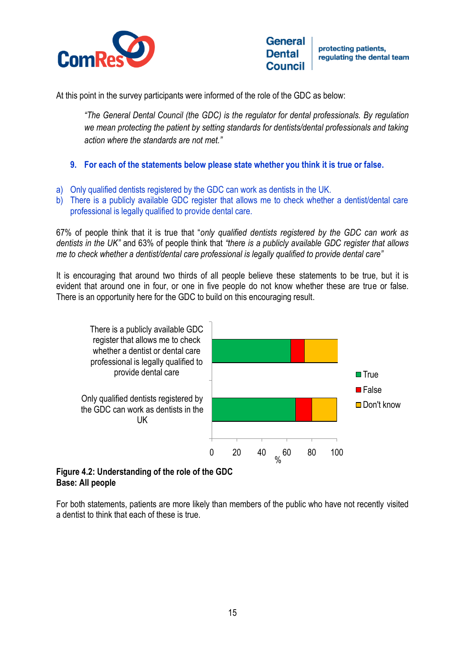

protecting patients. regulating the dental team

At this point in the survey participants were informed of the role of the GDC as below:

*"The General Dental Council (the GDC) is the regulator for dental professionals. By regulation we mean protecting the patient by setting standards for dentists/dental professionals and taking action where the standards are not met."* 

- **9. For each of the statements below please state whether you think it is true or false.**
- a) Only qualified dentists registered by the GDC can work as dentists in the UK.
- b) There is a publicly available GDC register that allows me to check whether a dentist/dental care professional is legally qualified to provide dental care.

67% of people think that it is true that "*only qualified dentists registered by the GDC can work as dentists in the UK"* and 63% of people think that *"there is a publicly available GDC register that allows me to check whether a dentist/dental care professional is legally qualified to provide dental care"*

It is encouraging that around two thirds of all people believe these statements to be true, but it is evident that around one in four, or one in five people do not know whether these are true or false. There is an opportunity here for the GDC to build on this encouraging result.



#### **Figure 4.2: Understanding of the role of the GDC Base: All people**

For both statements, patients are more likely than members of the public who have not recently visited a dentist to think that each of these is true.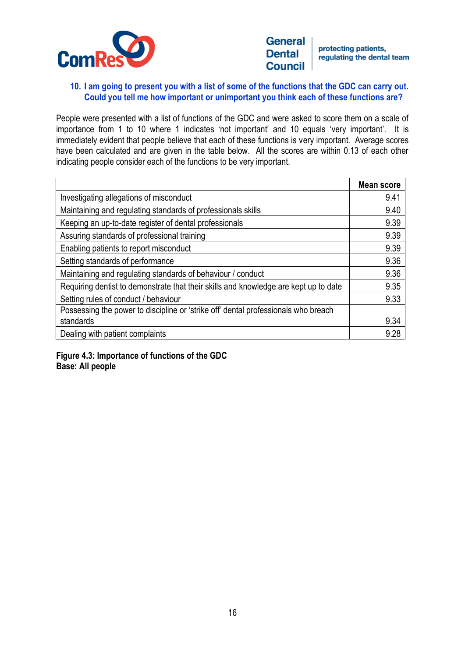

protecting patients. regulating the dental team

#### **10. I am going to present you with a list of some of the functions that the GDC can carry out. Could you tell me how important or unimportant you think each of these functions are?**

People were presented with a list of functions of the GDC and were asked to score them on a scale of importance from 1 to 10 where 1 indicates 'not important' and 10 equals 'very important'. It is immediately evident that people believe that each of these functions is very important. Average scores have been calculated and are given in the table below. All the scores are within 0.13 of each other indicating people consider each of the functions to be very important.

|                                                                                      | <b>Mean score</b> |
|--------------------------------------------------------------------------------------|-------------------|
| Investigating allegations of misconduct                                              | 9.41              |
| Maintaining and regulating standards of professionals skills                         | 9.40              |
| Keeping an up-to-date register of dental professionals                               | 9.39              |
| Assuring standards of professional training                                          | 9.39              |
| Enabling patients to report misconduct                                               | 9.39              |
| Setting standards of performance                                                     | 9.36              |
| Maintaining and regulating standards of behaviour / conduct                          | 9.36              |
| Requiring dentist to demonstrate that their skills and knowledge are kept up to date | 9.35              |
| Setting rules of conduct / behaviour                                                 | 9.33              |
| Possessing the power to discipline or 'strike off' dental professionals who breach   |                   |
| standards                                                                            | 9.34              |
| Dealing with patient complaints                                                      | 9.28              |

## **Figure 4.3: Importance of functions of the GDC Base: All people**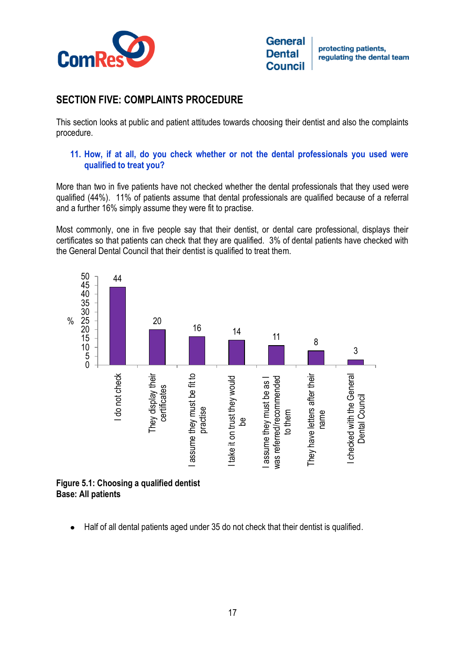

# **SECTION FIVE: COMPLAINTS PROCEDURE**

This section looks at public and patient attitudes towards choosing their dentist and also the complaints procedure.

## **11. How, if at all, do you check whether or not the dental professionals you used were qualified to treat you?**

More than two in five patients have not checked whether the dental professionals that they used were qualified (44%). 11% of patients assume that dental professionals are qualified because of a referral and a further 16% simply assume they were fit to practise.

Most commonly, one in five people say that their dentist, or dental care professional, displays their certificates so that patients can check that they are qualified. 3% of dental patients have checked with the General Dental Council that their dentist is qualified to treat them.



**Base: All patients**

Half of all dental patients aged under 35 do not check that their dentist is qualified.  $\bullet$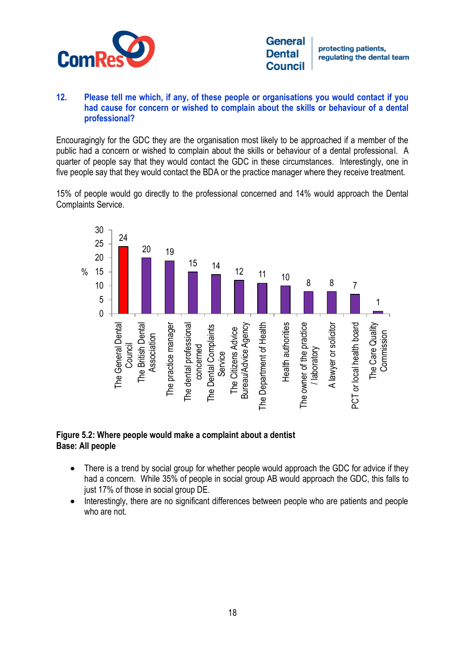

protecting patients. regulating the dental team

## **12. Please tell me which, if any, of these people or organisations you would contact if you had cause for concern or wished to complain about the skills or behaviour of a dental professional?**

Encouragingly for the GDC they are the organisation most likely to be approached if a member of the public had a concern or wished to complain about the skills or behaviour of a dental professional. A quarter of people say that they would contact the GDC in these circumstances. Interestingly, one in five people say that they would contact the BDA or the practice manager where they receive treatment.

15% of people would go directly to the professional concerned and 14% would approach the Dental Complaints Service.



#### **Figure 5.2: Where people would make a complaint about a dentist Base: All people**

- There is a trend by social group for whether people would approach the GDC for advice if they had a concern. While 35% of people in social group AB would approach the GDC, this falls to just 17% of those in social group DE.
- Interestingly, there are no significant differences between people who are patients and people  $\bullet$ who are not.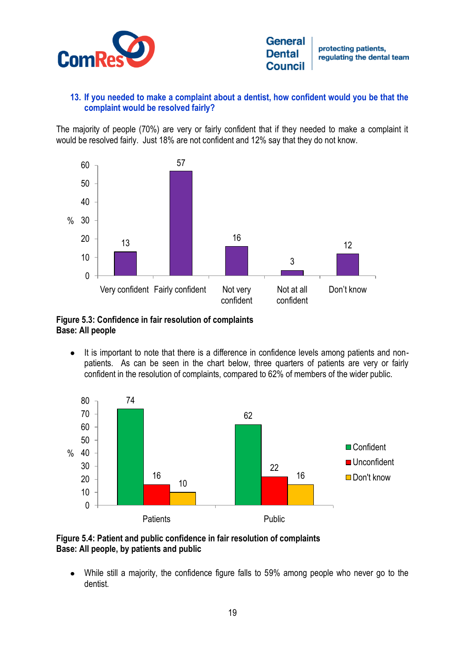

## **13. If you needed to make a complaint about a dentist, how confident would you be that the complaint would be resolved fairly?**

The majority of people (70%) are very or fairly confident that if they needed to make a complaint it would be resolved fairly. Just 18% are not confident and 12% say that they do not know.



**Figure 5.3: Confidence in fair resolution of complaints Base: All people**

 $\bullet$ It is important to note that there is a difference in confidence levels among patients and nonpatients. As can be seen in the chart below, three quarters of patients are very or fairly confident in the resolution of complaints, compared to 62% of members of the wider public.





While still a majority, the confidence figure falls to 59% among people who never go to the  $\bullet$ dentist.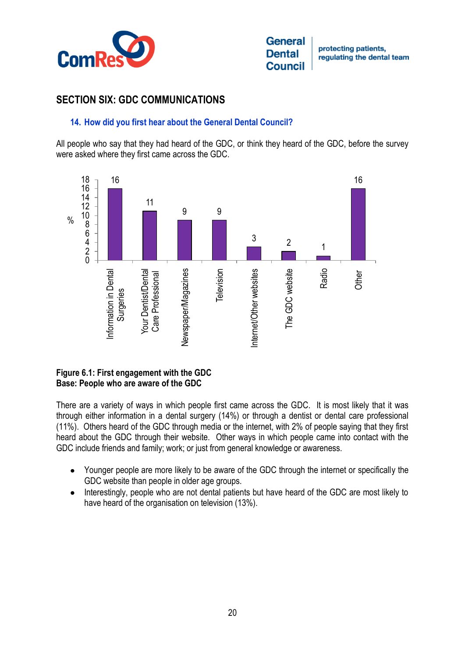

# **SECTION SIX: GDC COMMUNICATIONS**

## **14. How did you first hear about the General Dental Council?**

All people who say that they had heard of the GDC, or think they heard of the GDC, before the survey were asked where they first came across the GDC.



## **Figure 6.1: First engagement with the GDC Base: People who are aware of the GDC**

There are a variety of ways in which people first came across the GDC. It is most likely that it was through either information in a dental surgery (14%) or through a dentist or dental care professional (11%). Others heard of the GDC through media or the internet, with 2% of people saying that they first heard about the GDC through their website. Other ways in which people came into contact with the GDC include friends and family; work; or just from general knowledge or awareness.

- Younger people are more likely to be aware of the GDC through the internet or specifically the  $\bullet$ GDC website than people in older age groups.
- Interestingly, people who are not dental patients but have heard of the GDC are most likely to  $\bullet$ have heard of the organisation on television (13%).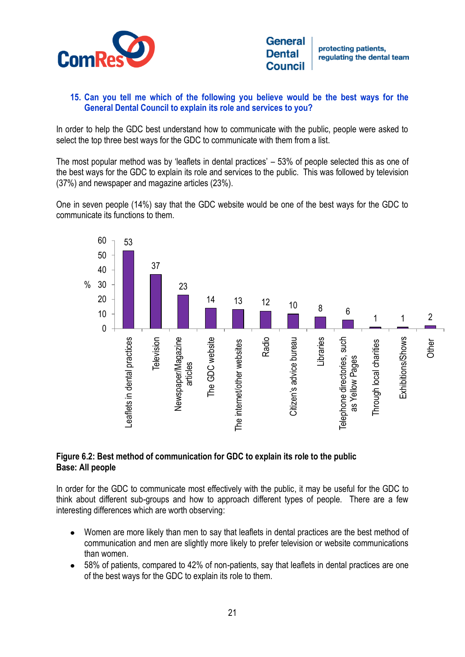

protecting patients. regulating the dental team

## **15. Can you tell me which of the following you believe would be the best ways for the General Dental Council to explain its role and services to you?**

In order to help the GDC best understand how to communicate with the public, people were asked to select the top three best ways for the GDC to communicate with them from a list.

The most popular method was by 'leaflets in dental practices' – 53% of people selected this as one of the best ways for the GDC to explain its role and services to the public. This was followed by television (37%) and newspaper and magazine articles (23%).

One in seven people (14%) say that the GDC website would be one of the best ways for the GDC to communicate its functions to them.



## **Figure 6.2: Best method of communication for GDC to explain its role to the public Base: All people**

In order for the GDC to communicate most effectively with the public, it may be useful for the GDC to think about different sub-groups and how to approach different types of people. There are a few interesting differences which are worth observing:

- Women are more likely than men to say that leaflets in dental practices are the best method of  $\bullet$ communication and men are slightly more likely to prefer television or website communications than women.
- 58% of patients, compared to 42% of non-patients, say that leaflets in dental practices are one  $\bullet$ of the best ways for the GDC to explain its role to them.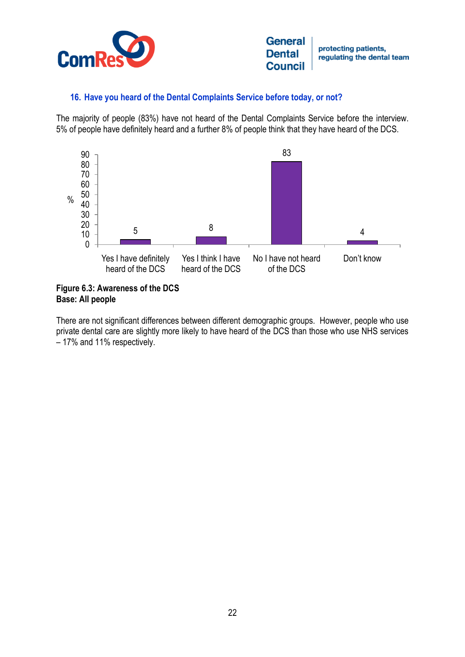

## **16. Have you heard of the Dental Complaints Service before today, or not?**

The majority of people (83%) have not heard of the Dental Complaints Service before the interview. 5% of people have definitely heard and a further 8% of people think that they have heard of the DCS.



**Figure 6.3: Awareness of the DCS Base: All people**

There are not significant differences between different demographic groups. However, people who use private dental care are slightly more likely to have heard of the DCS than those who use NHS services – 17% and 11% respectively.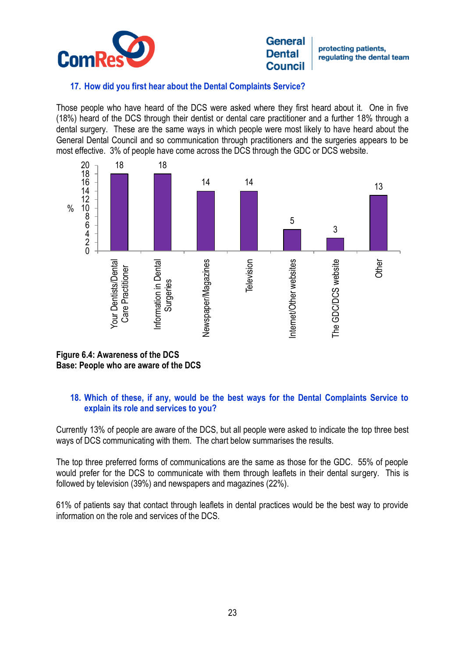

protecting patients, regulating the dental team

## **17. How did you first hear about the Dental Complaints Service?**

Those people who have heard of the DCS were asked where they first heard about it. One in five (18%) heard of the DCS through their dentist or dental care practitioner and a further 18% through a dental surgery. These are the same ways in which people were most likely to have heard about the General Dental Council and so communication through practitioners and the surgeries appears to be most effective. 3% of people have come across the DCS through the GDC or DCS website.



**Figure 6.4: Awareness of the DCS Base: People who are aware of the DCS**

## **18. Which of these, if any, would be the best ways for the Dental Complaints Service to explain its role and services to you?**

Currently 13% of people are aware of the DCS, but all people were asked to indicate the top three best ways of DCS communicating with them. The chart below summarises the results.

The top three preferred forms of communications are the same as those for the GDC. 55% of people would prefer for the DCS to communicate with them through leaflets in their dental surgery. This is followed by television (39%) and newspapers and magazines (22%).

61% of patients say that contact through leaflets in dental practices would be the best way to provide information on the role and services of the DCS.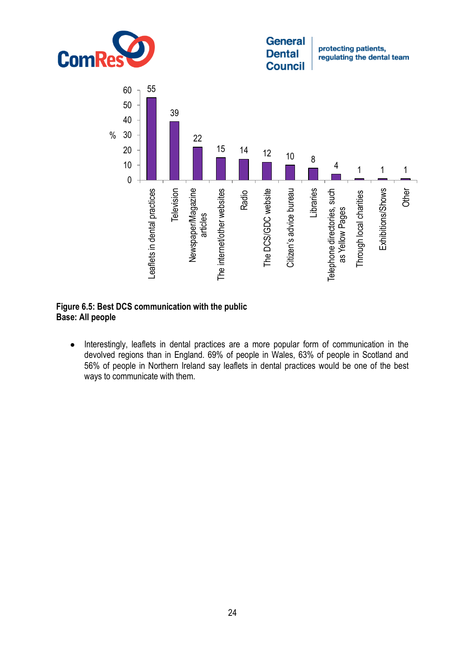

protecting patients, regulating the dental team



#### **Figure 6.5: Best DCS communication with the public Base: All people**

Interestingly, leaflets in dental practices are a more popular form of communication in the  $\bullet$ devolved regions than in England. 69% of people in Wales, 63% of people in Scotland and 56% of people in Northern Ireland say leaflets in dental practices would be one of the best ways to communicate with them.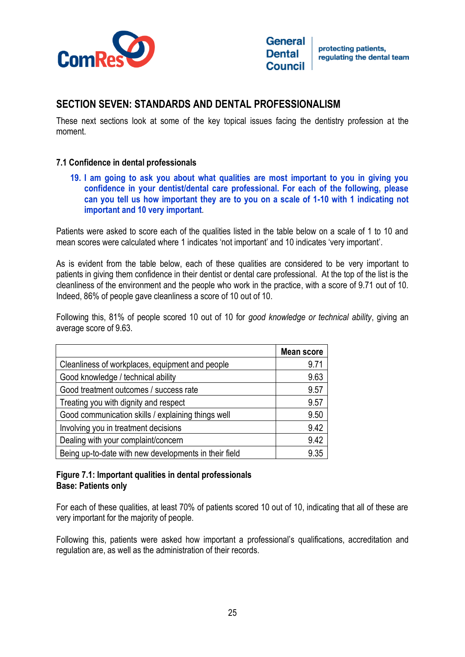

**General** protecting patients. **Dental** regulating the dental team **Council** 

# **SECTION SEVEN: STANDARDS AND DENTAL PROFESSIONALISM**

These next sections look at some of the key topical issues facing the dentistry profession at the moment.

#### **7.1 Confidence in dental professionals**

**19. I am going to ask you about what qualities are most important to you in giving you confidence in your dentist/dental care professional. For each of the following, please can you tell us how important they are to you on a scale of 1-10 with 1 indicating not important and 10 very important***.*

Patients were asked to score each of the qualities listed in the table below on a scale of 1 to 10 and mean scores were calculated where 1 indicates 'not important' and 10 indicates 'very important'.

As is evident from the table below, each of these qualities are considered to be very important to patients in giving them confidence in their dentist or dental care professional. At the top of the list is the cleanliness of the environment and the people who work in the practice, with a score of 9.71 out of 10. Indeed, 86% of people gave cleanliness a score of 10 out of 10.

Following this, 81% of people scored 10 out of 10 for *good knowledge or technical ability*, giving an average score of 9.63.

|                                                       | Mean score |
|-------------------------------------------------------|------------|
| Cleanliness of workplaces, equipment and people       | 9.71       |
| Good knowledge / technical ability                    | 9.63       |
| Good treatment outcomes / success rate                | 9.57       |
| Treating you with dignity and respect                 | 9.57       |
| Good communication skills / explaining things well    | 9.50       |
| Involving you in treatment decisions                  | 9.42       |
| Dealing with your complaint/concern                   | 9.42       |
| Being up-to-date with new developments in their field | 9.35       |

#### **Figure 7.1: Important qualities in dental professionals Base: Patients only**

For each of these qualities, at least 70% of patients scored 10 out of 10, indicating that all of these are very important for the majority of people.

Following this, patients were asked how important a professional's qualifications, accreditation and regulation are, as well as the administration of their records.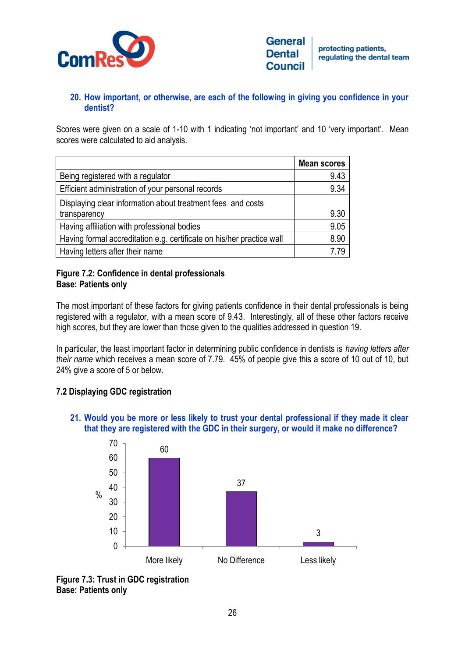

# **20. How important, or otherwise, are each of the following in giving you confidence in your dentist?**

Scores were given on a scale of 1-10 with 1 indicating 'not important' and 10 'very important'. Mean scores were calculated to aid analysis.

|                                                                       | <b>Mean scores</b> |
|-----------------------------------------------------------------------|--------------------|
| Being registered with a regulator                                     | 9.43               |
| Efficient administration of your personal records                     | 9.34               |
| Displaying clear information about treatment fees and costs           |                    |
| transparency                                                          | 9.30               |
| Having affiliation with professional bodies                           | 9.05               |
| Having formal accreditation e.g. certificate on his/her practice wall | 8.90               |
| Having letters after their name                                       | 7.79               |

# **Figure 7.2: Confidence in dental professionals Base: Patients only**

The most important of these factors for giving patients confidence in their dental professionals is being registered with a regulator, with a mean score of 9.43. Interestingly, all of these other factors receive high scores, but they are lower than those given to the qualities addressed in question 19.

In particular, the least important factor in determining public confidence in dentists is *having letters after their name* which receives a mean score of 7.79. 45% of people give this a score of 10 out of 10, but 24% give a score of 5 or below.

# **7.2 Displaying GDC registration**

**21. Would you be more or less likely to trust your dental professional if they made it clear that they are registered with the GDC in their surgery, or would it make no difference?**



**Figure 7.3: Trust in GDC registration Base: Patients only**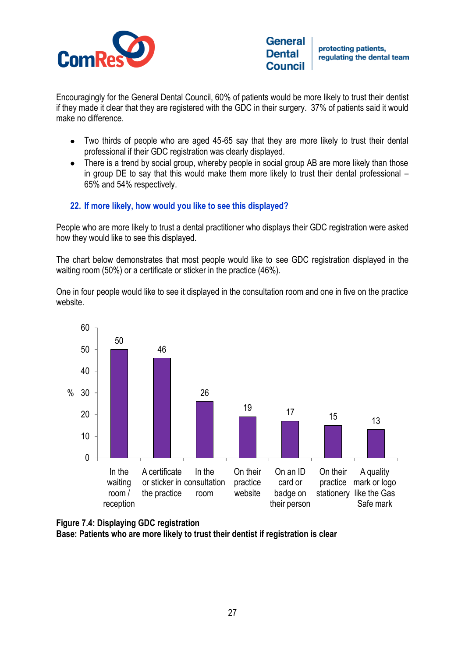

protecting patients. regulating the dental team

Encouragingly for the General Dental Council, 60% of patients would be more likely to trust their dentist if they made it clear that they are registered with the GDC in their surgery. 37% of patients said it would make no difference.

- Two thirds of people who are aged 45-65 say that they are more likely to trust their dental professional if their GDC registration was clearly displayed.
- There is a trend by social group, whereby people in social group AB are more likely than those in group DE to say that this would make them more likely to trust their dental professional – 65% and 54% respectively.

# **22. If more likely, how would you like to see this displayed?**

People who are more likely to trust a dental practitioner who displays their GDC registration were asked how they would like to see this displayed.

The chart below demonstrates that most people would like to see GDC registration displayed in the waiting room (50%) or a certificate or sticker in the practice (46%).

One in four people would like to see it displayed in the consultation room and one in five on the practice website.



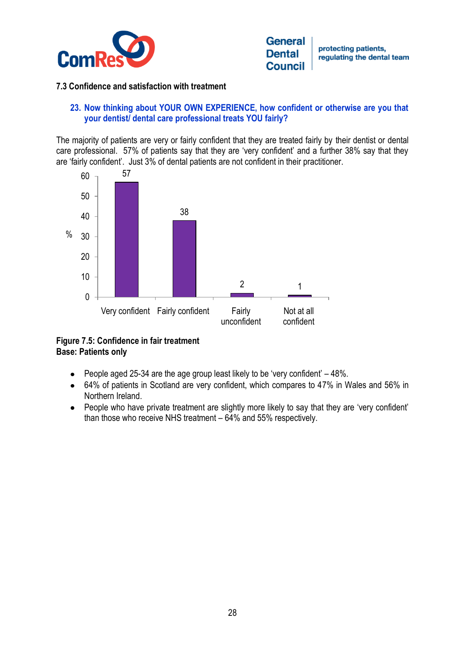

protecting patients. regulating the dental team

#### **7.3 Confidence and satisfaction with treatment**

#### **23. Now thinking about YOUR OWN EXPERIENCE, how confident or otherwise are you that your dentist/ dental care professional treats YOU fairly?**

The majority of patients are very or fairly confident that they are treated fairly by their dentist or dental care professional. 57% of patients say that they are 'very confident' and a further 38% say that they are 'fairly confident'. Just 3% of dental patients are not confident in their practitioner.



# **Figure 7.5: Confidence in fair treatment Base: Patients only**

- $\bullet$  People aged 25-34 are the age group least likely to be 'very confident'  $-48\%$ .
- 64% of patients in Scotland are very confident, which compares to 47% in Wales and 56% in Northern Ireland.
- People who have private treatment are slightly more likely to say that they are 'very confident' than those who receive NHS treatment – 64% and 55% respectively.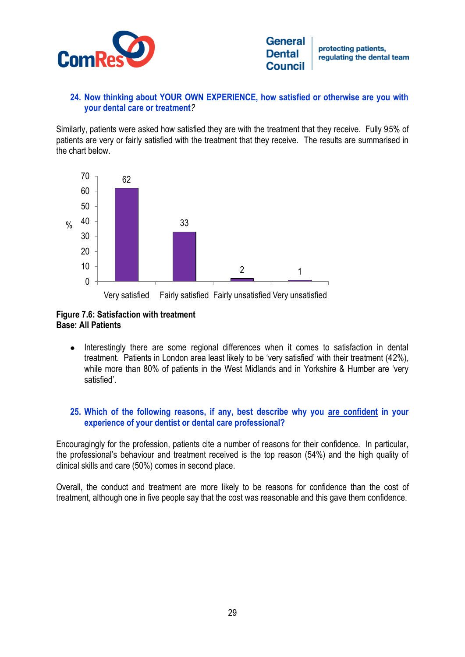

## **24. Now thinking about YOUR OWN EXPERIENCE, how satisfied or otherwise are you with your dental care or treatment***?*

Similarly, patients were asked how satisfied they are with the treatment that they receive. Fully 95% of patients are very or fairly satisfied with the treatment that they receive. The results are summarised in the chart below.





# **Figure 7.6: Satisfaction with treatment Base: All Patients**

 $\bullet$ Interestingly there are some regional differences when it comes to satisfaction in dental treatment. Patients in London area least likely to be 'very satisfied' with their treatment (42%), while more than 80% of patients in the West Midlands and in Yorkshire & Humber are 'very satisfied'.

# **25. Which of the following reasons, if any, best describe why you are confident in your experience of your dentist or dental care professional?**

Encouragingly for the profession, patients cite a number of reasons for their confidence. In particular, the professional's behaviour and treatment received is the top reason (54%) and the high quality of clinical skills and care (50%) comes in second place.

Overall, the conduct and treatment are more likely to be reasons for confidence than the cost of treatment, although one in five people say that the cost was reasonable and this gave them confidence.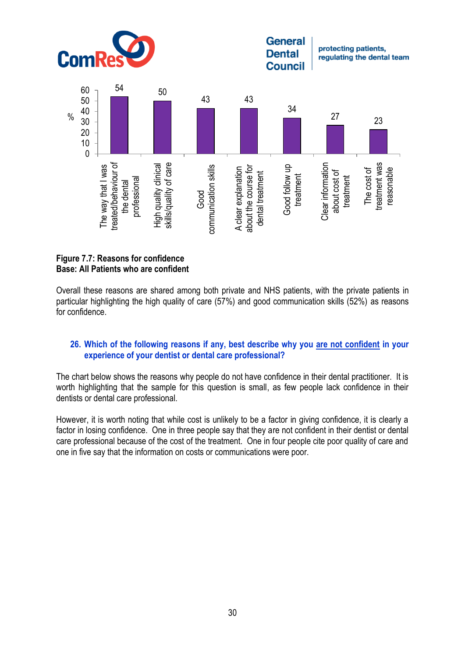

#### **Figure 7.7: Reasons for confidence Base: All Patients who are confident**

Overall these reasons are shared among both private and NHS patients, with the private patients in particular highlighting the high quality of care (57%) and good communication skills (52%) as reasons for confidence.

#### **26. Which of the following reasons if any, best describe why you are not confident in your experience of your dentist or dental care professional?**

The chart below shows the reasons why people do not have confidence in their dental practitioner. It is worth highlighting that the sample for this question is small, as few people lack confidence in their dentists or dental care professional.

However, it is worth noting that while cost is unlikely to be a factor in giving confidence, it is clearly a factor in losing confidence. One in three people say that they are not confident in their dentist or dental care professional because of the cost of the treatment. One in four people cite poor quality of care and one in five say that the information on costs or communications were poor.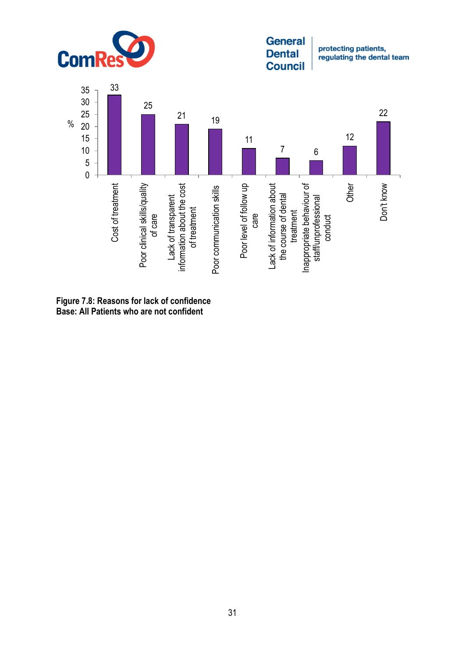

protecting patients, regulating the dental team



**Figure 7.8: Reasons for lack of confidence Base: All Patients who are not confident**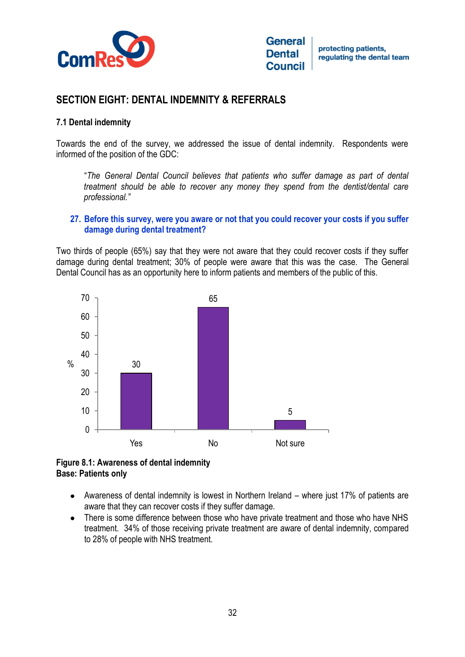

# **SECTION EIGHT: DENTAL INDEMNITY & REFERRALS**

#### **7.1 Dental indemnity**

Towards the end of the survey, we addressed the issue of dental indemnity. Respondents were informed of the position of the GDC:

"*The General Dental Council believes that patients who suffer damage as part of dental treatment should be able to recover any money they spend from the dentist/dental care professional."*

#### **27. Before this survey, were you aware or not that you could recover your costs if you suffer damage during dental treatment?**

Two thirds of people (65%) say that they were not aware that they could recover costs if they suffer damage during dental treatment; 30% of people were aware that this was the case. The General Dental Council has as an opportunity here to inform patients and members of the public of this.



**Figure 8.1: Awareness of dental indemnity Base: Patients only**

- Awareness of dental indemnity is lowest in Northern Ireland where just 17% of patients are aware that they can recover costs if they suffer damage.
- There is some difference between those who have private treatment and those who have NHS  $\bullet$ treatment. 34% of those receiving private treatment are aware of dental indemnity, compared to 28% of people with NHS treatment.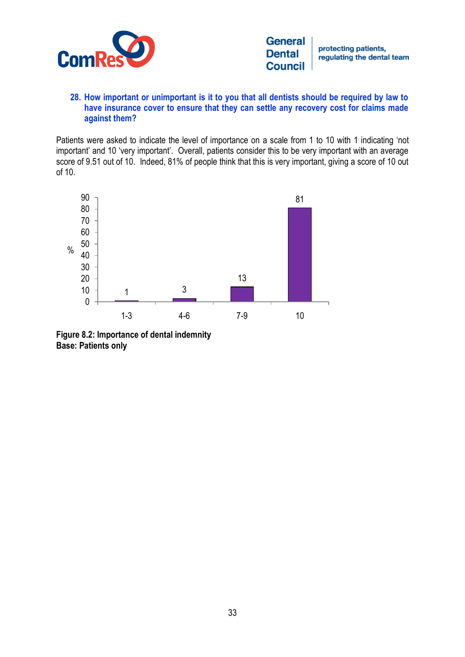

protecting patients, regulating the dental team

#### **28. How important or unimportant is it to you that all dentists should be required by law to have insurance cover to ensure that they can settle any recovery cost for claims made against them?**

Patients were asked to indicate the level of importance on a scale from 1 to 10 with 1 indicating 'not important' and 10 'very important'. Overall, patients consider this to be very important with an average score of 9.51 out of 10. Indeed, 81% of people think that this is very important, giving a score of 10 out of 10.



**Figure 8.2: Importance of dental indemnity Base: Patients only**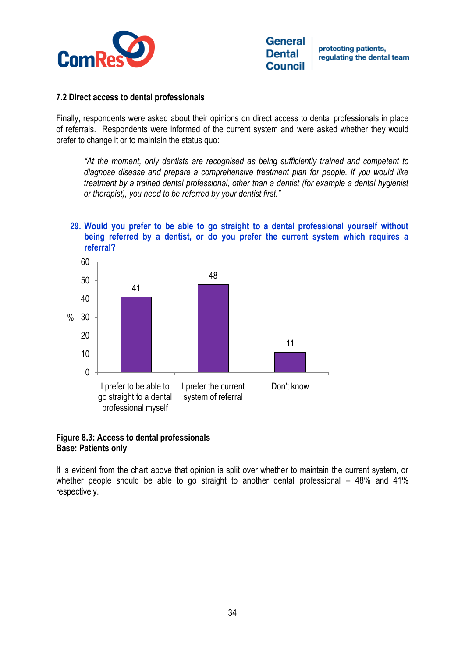

#### **7.2 Direct access to dental professionals**

Finally, respondents were asked about their opinions on direct access to dental professionals in place of referrals. Respondents were informed of the current system and were asked whether they would prefer to change it or to maintain the status quo:

*"At the moment, only dentists are recognised as being sufficiently trained and competent to diagnose disease and prepare a comprehensive treatment plan for people. If you would like treatment by a trained dental professional, other than a dentist (for example a dental hygienist or therapist), you need to be referred by your dentist first."* 

#### **29. Would you prefer to be able to go straight to a dental professional yourself without being referred by a dentist, or do you prefer the current system which requires a referral?**



#### **Figure 8.3: Access to dental professionals Base: Patients only**

It is evident from the chart above that opinion is split over whether to maintain the current system, or whether people should be able to go straight to another dental professional – 48% and 41% respectively.